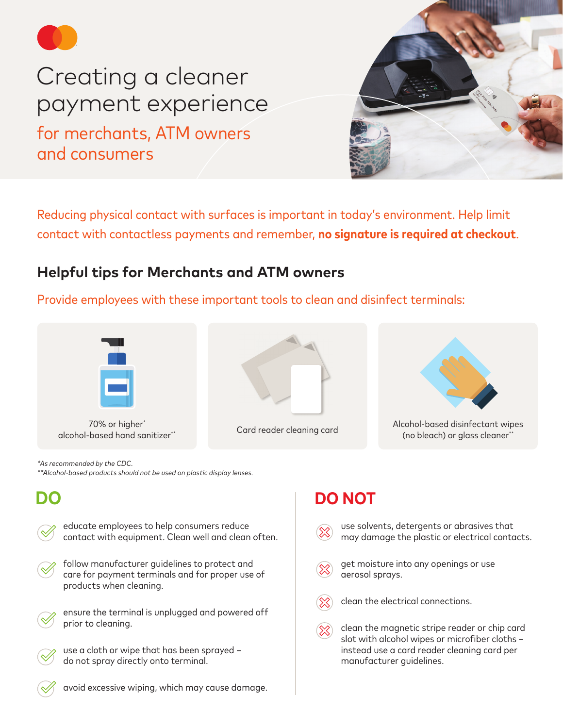

# Creating a cleaner payment experience for merchants, ATM owners and consumers



Reducing physical contact with surfaces is important in today's environment. Help limit contact with contactless payments and remember, **no signature is required at checkout**.

## **Helpful tips for Merchants and ATM owners**

Provide employees with these important tools to clean and disinfect terminals:



70% or higher\*





alcohol-based disinfectant wipes (70% or higher\* card reader cleaning card alcohol-based disinfectant wipes<br>\*\* alcohol-based hand sanitizer\*\* card reader cleaning card (10) or glass cleaner (no bleach) or glass cleaner\*

*\*As recommended by the CDC. \*\*Alcohol-based products should not be used on plastic display lenses.*

educate employees to help consumers reduce contact with equipment. Clean well and clean often.

follow manufacturer guidelines to protect and care for payment terminals and for proper use of products when cleaning.



use a cloth or wipe that has been sprayed – do not spray directly onto terminal.

# **DO DO NOT**

- use solvents, detergents or abrasives that may damage the plastic or electrical contacts.
- get moisture into any openings or use aerosol sprays.
- clean the electrical connections.
- clean the magnetic stripe reader or chip card slot with alcohol wipes or microfiber cloths – instead use a card reader cleaning card per manufacturer guidelines.

- 
- avoid excessive wiping, which may cause damage.